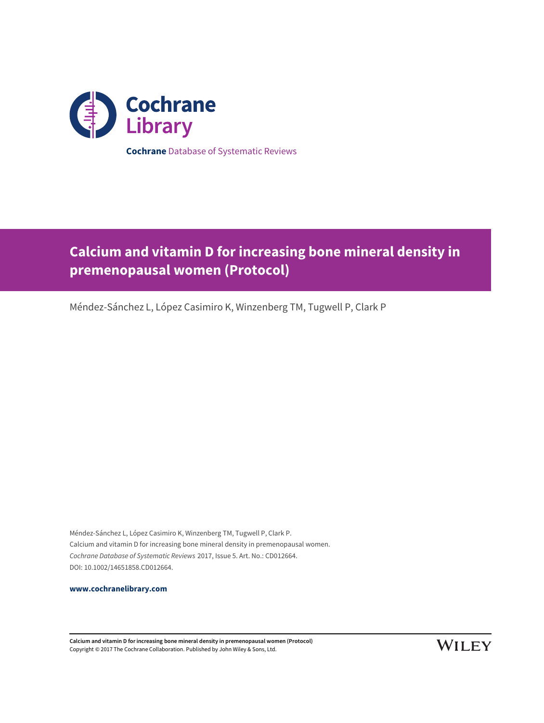

# **Calcium and vitamin D for increasing bone mineral density in premenopausal women (Protocol)**

Méndez-Sánchez L, López Casimiro K, Winzenberg TM, Tugwell P, Clark P

Méndez-Sánchez L, López Casimiro K, Winzenberg TM, Tugwell P, Clark P. Calcium and vitamin D for increasing bone mineral density in premenopausal women. Cochrane Database of Systematic Reviews 2017, Issue 5. Art. No.: CD012664. DOI: 10.1002/14651858.CD012664.

**[www.cochranelibrary.com](http://www.cochranelibrary.com)**

**Calcium and vitamin D for increasing bone mineral density in premenopausal women (Protocol)** Copyright © 2017 The Cochrane Collaboration. Published by John Wiley & Sons, Ltd.

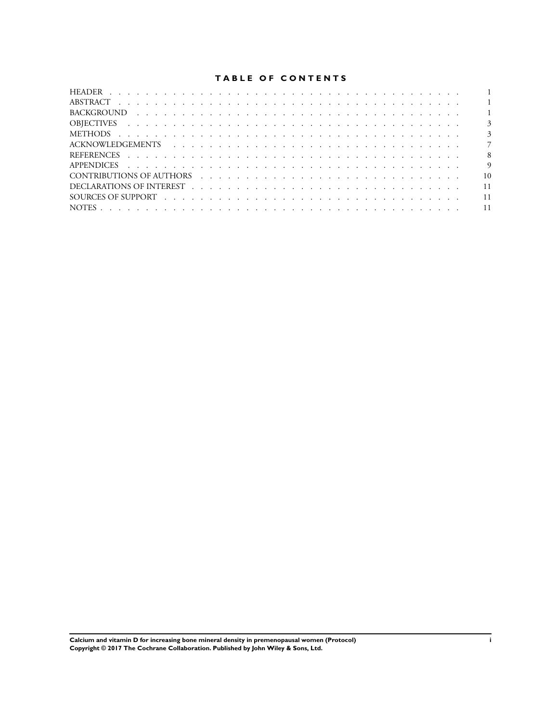# **TABLE OF CONTENTS**

| $\sim$ 1                                                                                                                                                                                                                       |                |
|--------------------------------------------------------------------------------------------------------------------------------------------------------------------------------------------------------------------------------|----------------|
| $\overline{\phantom{a}3}$                                                                                                                                                                                                      |                |
|                                                                                                                                                                                                                                | $\overline{3}$ |
|                                                                                                                                                                                                                                | $\overline{7}$ |
|                                                                                                                                                                                                                                | - 8            |
| $\overline{9}$                                                                                                                                                                                                                 |                |
| CONTRIBUTIONS OF AUTHORS (experience of the contract of the contract of the contract of the contract of the contract of the contract of the contract of the contract of the contract of the contract of the contract of the co | 10             |
| 11                                                                                                                                                                                                                             |                |
|                                                                                                                                                                                                                                |                |
|                                                                                                                                                                                                                                |                |

**Calcium and vitamin D for increasing bone mineral density in premenopausal women (Protocol) i Copyright © 2017 The Cochrane Collaboration. Published by John Wiley & Sons, Ltd.**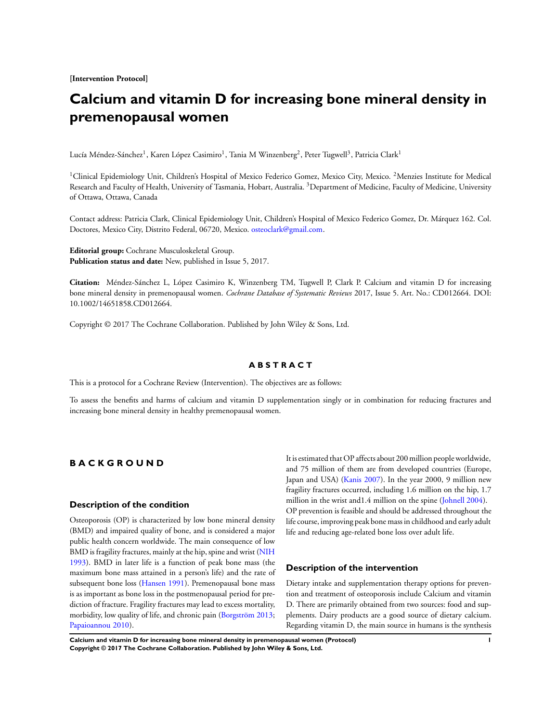<span id="page-2-0"></span>**[Intervention Protocol]**

# **Calcium and vitamin D for increasing bone mineral density in premenopausal women**

Lucía Méndez-Sánchez<sup>1</sup>, Karen López Casimiro<sup>1</sup>, Tania M Winzenberg<sup>2</sup>, Peter Tugwell<sup>3</sup>, Patricia Clark<sup>1</sup>

<sup>1</sup>Clinical Epidemiology Unit, Children's Hospital of Mexico Federico Gomez, Mexico City, Mexico. <sup>2</sup>Menzies Institute for Medical Research and Faculty of Health, University of Tasmania, Hobart, Australia. <sup>3</sup>Department of Medicine, Faculty of Medicine, University of Ottawa, Ottawa, Canada

Contact address: Patricia Clark, Clinical Epidemiology Unit, Children's Hospital of Mexico Federico Gomez, Dr. Márquez 162. Col. Doctores, Mexico City, Distrito Federal, 06720, Mexico. [osteoclark@gmail.com](mailto:osteoclark@gmail.com).

**Editorial group:** Cochrane Musculoskeletal Group. **Publication status and date:** New, published in Issue 5, 2017.

**Citation:** Méndez-Sánchez L, López Casimiro K, Winzenberg TM, Tugwell P, Clark P. Calcium and vitamin D for increasing bone mineral density in premenopausal women. *Cochrane Database of Systematic Reviews* 2017, Issue 5. Art. No.: CD012664. DOI: 10.1002/14651858.CD012664.

Copyright © 2017 The Cochrane Collaboration. Published by John Wiley & Sons, Ltd.

# **A B S T R A C T**

This is a protocol for a Cochrane Review (Intervention). The objectives are as follows:

To assess the benefits and harms of calcium and vitamin D supplementation singly or in combination for reducing fractures and increasing bone mineral density in healthy premenopausal women.

# **B A C K G R O U N D**

#### **Description of the condition**

Osteoporosis (OP) is characterized by low bone mineral density (BMD) and impaired quality of bone, and is considered a major public health concern worldwide. The main consequence of low BMD is fragility fractures, mainly at the hip, spine and wrist ([NIH](#page-9-0) [1993](#page-9-0)). BMD in later life is a function of peak bone mass (the maximum bone mass attained in a person's life) and the rate of subsequent bone loss ([Hansen 1991](#page-9-0)). Premenopausal bone mass is as important as bone loss in the postmenopausal period for prediction of fracture. Fragility fractures may lead to excess mortality, morbidity, low quality of life, and chronic pain [\(Borgström 2013;](#page-9-0) [Papaioannou 2010\)](#page-9-0).

It is estimated that OP affects about 200 million people worldwide, and 75 million of them are from developed countries (Europe, Japan and USA) [\(Kanis 2007\)](#page-9-0). In the year 2000, 9 million new fragility fractures occurred, including 1.6 million on the hip, 1.7 million in the wrist and1.4 million on the spine [\(Johnell 2004\)](#page-9-0). OP prevention is feasible and should be addressed throughout the life course, improving peak bone mass in childhood and early adult life and reducing age-related bone loss over adult life.

# **Description of the intervention**

Dietary intake and supplementation therapy options for prevention and treatment of osteoporosis include Calcium and vitamin D. There are primarily obtained from two sources: food and supplements. Dairy products are a good source of dietary calcium. Regarding vitamin D, the main source in humans is the synthesis

**Calcium and vitamin D for increasing bone mineral density in premenopausal women (Protocol) 1 Copyright © 2017 The Cochrane Collaboration. Published by John Wiley & Sons, Ltd.**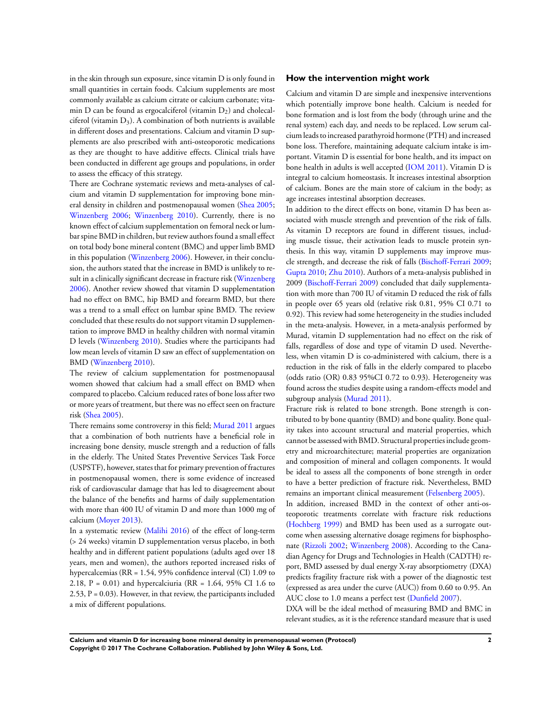in the skin through sun exposure, since vitamin D is only found in small quantities in certain foods. Calcium supplements are most commonly available as calcium citrate or calcium carbonate; vitamin D can be found as ergocalciferol (vitamin  $D_2$ ) and cholecalciferol (vitamin  $D_3$ ). A combination of both nutrients is available in different doses and presentations. Calcium and vitamin D supplements are also prescribed with anti-osteoporotic medications as they are thought to have additive effects. Clinical trials have been conducted in different age groups and populations, in order to assess the efficacy of this strategy.

There are Cochrane systematic reviews and meta-analyses of calcium and vitamin D supplementation for improving bone mineral density in children and postmenopausal women ([Shea 2005;](#page-9-0) [Winzenberg 2006;](#page-9-0) [Winzenberg 2010\)](#page-9-0). Currently, there is no known effect of calcium supplementation on femoral neck or lumbar spine BMD in children, but review authors found a small effect on total body bone mineral content (BMC) and upper limb BMD in this population [\(Winzenberg 2006\)](#page-9-0). However, in their conclusion, the authors stated that the increase in BMD is unlikely to result in a clinically significant decrease in fracture risk ([Winzenberg](#page-9-0) [2006](#page-9-0)). Another review showed that vitamin D supplementation had no effect on BMC, hip BMD and forearm BMD, but there was a trend to a small effect on lumbar spine BMD. The review concluded that these results do not support vitamin D supplementation to improve BMD in healthy children with normal vitamin D levels ([Winzenberg 2010\)](#page-9-0). Studies where the participants had low mean levels of vitamin D saw an effect of supplementation on BMD ([Winzenberg 2010\)](#page-9-0).

The review of calcium supplementation for postmenopausal women showed that calcium had a small effect on BMD when compared to placebo. Calcium reduced rates of bone loss after two or more years of treatment, but there was no effect seen on fracture risk ([Shea 2005](#page-9-0)).

There remains some controversy in this field; [Murad 2011](#page-9-0) argues that a combination of both nutrients have a beneficial role in increasing bone density, muscle strength and a reduction of falls in the elderly. The United States Preventive Services Task Force (USPSTF), however, states that for primary prevention of fractures in postmenopausal women, there is some evidence of increased risk of cardiovascular damage that has led to disagreement about the balance of the benefits and harms of daily supplementation with more than 400 IU of vitamin D and more than 1000 mg of calcium [\(Moyer 2013](#page-9-0)).

In a systematic review [\(Malihi 2016\)](#page-9-0) of the effect of long-term (> 24 weeks) vitamin D supplementation versus placebo, in both healthy and in different patient populations (adults aged over 18 years, men and women), the authors reported increased risks of hypercalcemias (RR = 1.54, 95% confidence interval (CI) 1.09 to 2.18,  $P = 0.01$ ) and hypercalciuria (RR = 1.64, 95% CI 1.6 to 2.53, P = 0.03). However, in that review, the participants included a mix of different populations.

# **How the intervention might work**

Calcium and vitamin D are simple and inexpensive interventions which potentially improve bone health. Calcium is needed for bone formation and is lost from the body (through urine and the renal system) each day, and needs to be replaced. Low serum calcium leads to increased parathyroid hormone (PTH) and increased bone loss. Therefore, maintaining adequate calcium intake is important. Vitamin D is essential for bone health, and its impact on bone health in adults is well accepted ([IOM 2011](#page-9-0)). Vitamin D is integral to calcium homeostasis. It increases intestinal absorption of calcium. Bones are the main store of calcium in the body; as age increases intestinal absorption decreases.

In addition to the direct effects on bone, vitamin D has been associated with muscle strength and prevention of the risk of falls. As vitamin D receptors are found in different tissues, including muscle tissue, their activation leads to muscle protein synthesis. In this way, vitamin D supplements may improve muscle strength, and decrease the risk of falls [\(Bischoff-Ferrari 2009;](#page-9-0) [Gupta 2010](#page-9-0); [Zhu 2010\)](#page-9-0). Authors of a meta-analysis published in 2009 ([Bischoff-Ferrari 2009](#page-9-0)) concluded that daily supplementation with more than 700 IU of vitamin D reduced the risk of falls in people over 65 years old (relative risk 0.81, 95% CI 0.71 to 0.92). This review had some heterogeneity in the studies included in the meta-analysis. However, in a meta-analysis performed by Murad, vitamin D supplementation had no effect on the risk of falls, regardless of dose and type of vitamin D used. Nevertheless, when vitamin D is co-administered with calcium, there is a reduction in the risk of falls in the elderly compared to placebo (odds ratio (OR) 0.83 95%CI 0.72 to 0.93). Heterogeneity was found across the studies despite using a random-effects model and subgroup analysis [\(Murad 2011](#page-9-0)).

Fracture risk is related to bone strength. Bone strength is contributed to by bone quantity (BMD) and bone quality. Bone quality takes into account structural and material properties, which cannot be assessed with BMD. Structural properties include geometry and microarchitecture; material properties are organization and composition of mineral and collagen components. It would be ideal to assess all the components of bone strength in order to have a better prediction of fracture risk. Nevertheless, BMD remains an important clinical measurement [\(Felsenberg 2005\)](#page-9-0).

In addition, increased BMD in the context of other anti-osteoporotic treatments correlate with fracture risk reductions [\(Hochberg 1999](#page-9-0)) and BMD has been used as a surrogate outcome when assessing alternative dosage regimens for bisphosphonate ([Rizzoli 2002](#page-9-0); [Winzenberg 2008\)](#page-9-0). According to the Canadian Agency for Drugs and Technologies in Health (CADTH) report, BMD assessed by dual energy X-ray absorptiometry (DXA) predicts fragility fracture risk with a power of the diagnostic test (expressed as area under the curve (AUC)) from 0.60 to 0.95. An AUC close to 1.0 means a perfect test ([Dunfield 2007](#page-9-0)).

DXA will be the ideal method of measuring BMD and BMC in relevant studies, as it is the reference standard measure that is used

**Calcium and vitamin D for increasing bone mineral density in premenopausal women (Protocol) 2 Copyright © 2017 The Cochrane Collaboration. Published by John Wiley & Sons, Ltd.**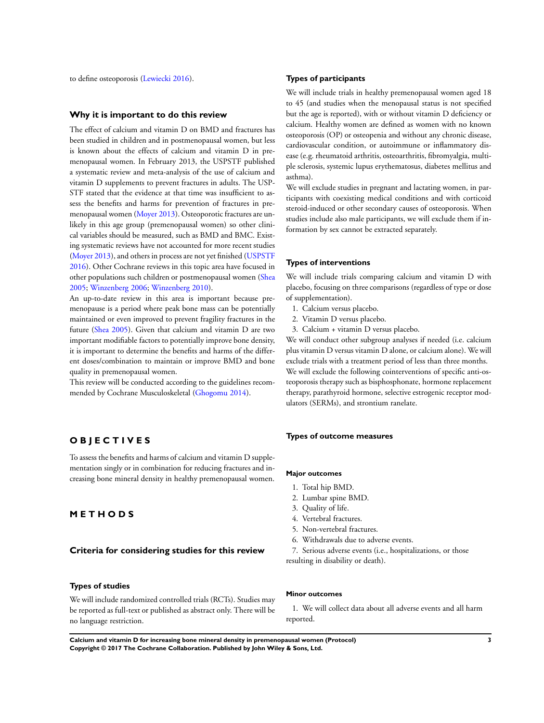to define osteoporosis [\(Lewiecki 2016](#page-9-0)).

### **Why it is important to do this review**

The effect of calcium and vitamin D on BMD and fractures has been studied in children and in postmenopausal women, but less is known about the effects of calcium and vitamin D in premenopausal women. In February 2013, the USPSTF published a systematic review and meta-analysis of the use of calcium and vitamin D supplements to prevent fractures in adults. The USP-STF stated that the evidence at that time was insufficient to assess the benefits and harms for prevention of fractures in premenopausal women [\(Moyer 2013\)](#page-9-0). Osteoporotic fractures are unlikely in this age group (premenopausal women) so other clinical variables should be measured, such as BMD and BMC. Existing systematic reviews have not accounted for more recent studies [\(Moyer 2013](#page-9-0)), and others in process are not yet finished ([USPSTF](#page-9-0) [2016](#page-9-0)). Other Cochrane reviews in this topic area have focused in other populations such children or postmenopausal women [\(Shea](#page-9-0) [2005](#page-9-0); [Winzenberg 2006](#page-9-0); [Winzenberg 2010](#page-9-0)).

An up-to-date review in this area is important because premenopause is a period where peak bone mass can be potentially maintained or even improved to prevent fragility fractures in the future [\(Shea 2005](#page-9-0)). Given that calcium and vitamin D are two important modifiable factors to potentially improve bone density, it is important to determine the benefits and harms of the different doses/combination to maintain or improve BMD and bone quality in premenopausal women.

This review will be conducted according to the guidelines recommended by Cochrane Musculoskeletal ([Ghogomu 2014\)](#page-9-0).

# **O B J E C T I V E S**

To assess the benefits and harms of calcium and vitamin D supplementation singly or in combination for reducing fractures and increasing bone mineral density in healthy premenopausal women.

# **M E T H O D S**

### **Criteria for considering studies for this review**

# **Types of studies**

We will include randomized controlled trials (RCTs). Studies may be reported as full-text or published as abstract only. There will be no language restriction.

### **Types of participants**

We will include trials in healthy premenopausal women aged 18 to 45 (and studies when the menopausal status is not specified but the age is reported), with or without vitamin D deficiency or calcium. Healthy women are defined as women with no known osteoporosis (OP) or osteopenia and without any chronic disease, cardiovascular condition, or autoimmune or inflammatory disease (e.g. rheumatoid arthritis, osteoarthritis, fibromyalgia, multiple sclerosis, systemic lupus erythematosus, diabetes mellitus and asthma).

We will exclude studies in pregnant and lactating women, in participants with coexisting medical conditions and with corticoid steroid-induced or other secondary causes of osteoporosis. When studies include also male participants, we will exclude them if information by sex cannot be extracted separately.

#### **Types of interventions**

We will include trials comparing calcium and vitamin D with placebo, focusing on three comparisons (regardless of type or dose of supplementation).

- 1. Calcium versus placebo.
- 2. Vitamin D versus placebo.
- 3. Calcium + vitamin D versus placebo.

We will conduct other subgroup analyses if needed (i.e. calcium plus vitamin D versus vitamin D alone, or calcium alone). We will exclude trials with a treatment period of less than three months. We will exclude the following cointerventions of specific anti-osteoporosis therapy such as bisphosphonate, hormone replacement therapy, parathyroid hormone, selective estrogenic receptor modulators (SERMs), and strontium ranelate.

### **Types of outcome measures**

# **Major outcomes**

- 1. Total hip BMD.
- 2. Lumbar spine BMD.
- 3. Quality of life.
- 4. Vertebral fractures.
- 5. Non-vertebral fractures.
- 6. Withdrawals due to adverse events.
- 7. Serious adverse events (i.e., hospitalizations, or those resulting in disability or death).

#### **Minor outcomes**

1. We will collect data about all adverse events and all harm reported.

**Calcium and vitamin D for increasing bone mineral density in premenopausal women (Protocol) 3 Copyright © 2017 The Cochrane Collaboration. Published by John Wiley & Sons, Ltd.**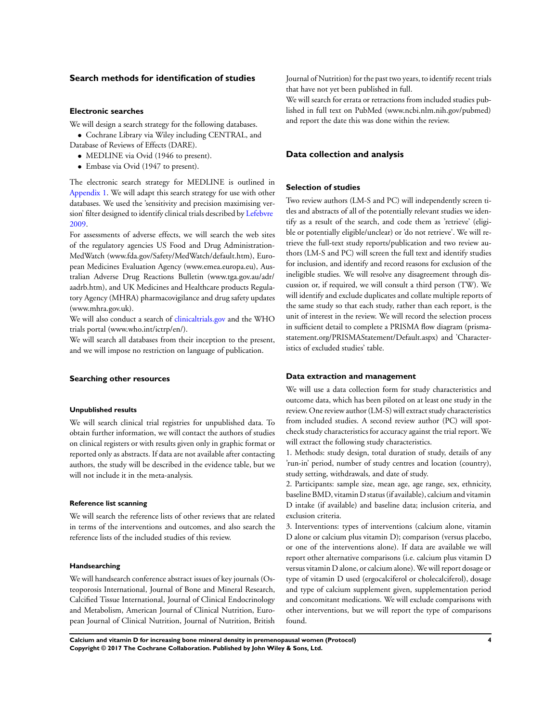# **Search methods for identification of studies**

# **Electronic searches**

We will design a search strategy for the following databases.

- Cochrane Library via Wiley including CENTRAL, and
- Database of Reviews of Effects (DARE).
	- MEDLINE via Ovid (1946 to present).
	- Embase via Ovid (1947 to present).

The electronic search strategy for MEDLINE is outlined in [Appendix 1.](#page-11-0) We will adapt this search strategy for use with other databases. We used the 'sensitivity and precision maximising version' filter designed to identify clinical trials described by [Lefebvre](https://archie.cochrane.org/sections/documents/view?document=15877869762794661163120123191020%26format=REVMAN#REF-Lefebvre-2009) [2009](https://archie.cochrane.org/sections/documents/view?document=15877869762794661163120123191020%26format=REVMAN#REF-Lefebvre-2009).

For assessments of adverse effects, we will search the web sites of the regulatory agencies US Food and Drug Administration-MedWatch (www.fda.gov/Safety/MedWatch/default.htm), European Medicines Evaluation Agency (www.emea.europa.eu), Australian Adverse Drug Reactions Bulletin (www.tga.gov.au/adr/ aadrb.htm), and UK Medicines and Healthcare products Regulatory Agency (MHRA) pharmacovigilance and drug safety updates (www.mhra.gov.uk).

We will also conduct a search of *[clinicaltrials.gov](https://clinicaltrials.gov)* and the WHO trials portal (www.who.int/ictrp/en/).

We will search all databases from their inception to the present, and we will impose no restriction on language of publication.

# **Searching other resources**

#### **Unpublished results**

We will search clinical trial registries for unpublished data. To obtain further information, we will contact the authors of studies on clinical registers or with results given only in graphic format or reported only as abstracts. If data are not available after contacting authors, the study will be described in the evidence table, but we will not include it in the meta-analysis.

#### **Reference list scanning**

We will search the reference lists of other reviews that are related in terms of the interventions and outcomes, and also search the reference lists of the included studies of this review.

#### **Handsearching**

We will handsearch conference abstract issues of key journals (Osteoporosis International, Journal of Bone and Mineral Research, Calcified Tissue International, Journal of Clinical Endocrinology and Metabolism, American Journal of Clinical Nutrition, European Journal of Clinical Nutrition, Journal of Nutrition, British Journal of Nutrition) for the past two years, to identify recent trials that have not yet been published in full.

We will search for errata or retractions from included studies published in full text on PubMed (www.ncbi.nlm.nih.gov/pubmed) and report the date this was done within the review.

# **Data collection and analysis**

### **Selection of studies**

Two review authors (LM-S and PC) will independently screen titles and abstracts of all of the potentially relevant studies we identify as a result of the search, and code them as 'retrieve' (eligible or potentially eligible/unclear) or 'do not retrieve'. We will retrieve the full-text study reports/publication and two review authors (LM-S and PC) will screen the full text and identify studies for inclusion, and identify and record reasons for exclusion of the ineligible studies. We will resolve any disagreement through discussion or, if required, we will consult a third person (TW). We will identify and exclude duplicates and collate multiple reports of the same study so that each study, rather than each report, is the unit of interest in the review. We will record the selection process in sufficient detail to complete a PRISMA flow diagram (prismastatement.org/PRISMAStatement/Default.aspx) and 'Characteristics of excluded studies' table.

### **Data extraction and management**

We will use a data collection form for study characteristics and outcome data, which has been piloted on at least one study in the review. One review author (LM-S) will extract study characteristics from included studies. A second review author (PC) will spotcheck study characteristics for accuracy against the trial report. We will extract the following study characteristics.

1. Methods: study design, total duration of study, details of any 'run-in' period, number of study centres and location (country), study setting, withdrawals, and date of study.

2. Participants: sample size, mean age, age range, sex, ethnicity, baseline BMD, vitamin D status (if available), calcium and vitamin D intake (if available) and baseline data; inclusion criteria, and exclusion criteria.

3. Interventions: types of interventions (calcium alone, vitamin D alone or calcium plus vitamin D); comparison (versus placebo, or one of the interventions alone). If data are available we will report other alternative comparisons (i.e. calcium plus vitamin D versus vitamin D alone, or calcium alone). We will report dosage or type of vitamin D used (ergocalciferol or cholecalciferol), dosage and type of calcium supplement given, supplementation period and concomitant medications. We will exclude comparisons with other interventions, but we will report the type of comparisons found.

**Calcium and vitamin D for increasing bone mineral density in premenopausal women (Protocol) 4 Copyright © 2017 The Cochrane Collaboration. Published by John Wiley & Sons, Ltd.**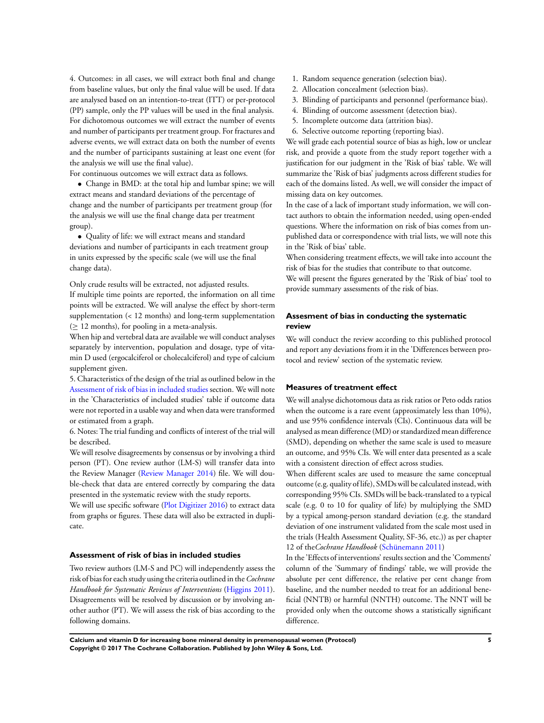4. Outcomes: in all cases, we will extract both final and change from baseline values, but only the final value will be used. If data are analysed based on an intention-to-treat (ITT) or per-protocol (PP) sample, only the PP values will be used in the final analysis. For dichotomous outcomes we will extract the number of events and number of participants per treatment group. For fractures and adverse events, we will extract data on both the number of events and the number of participants sustaining at least one event (for the analysis we will use the final value).

For continuous outcomes we will extract data as follows.

• Change in BMD: at the total hip and lumbar spine; we will extract means and standard deviations of the percentage of change and the number of participants per treatment group (for the analysis we will use the final change data per treatment group).

• Quality of life: we will extract means and standard deviations and number of participants in each treatment group in units expressed by the specific scale (we will use the final change data).

Only crude results will be extracted, not adjusted results. If multiple time points are reported, the information on all time points will be extracted. We will analyse the effect by short-term supplementation (< 12 months) and long-term supplementation  $(≥ 12$  months), for pooling in a meta-analysis.

When hip and vertebral data are available we will conduct analyses separately by intervention, population and dosage, type of vitamin D used (ergocalciferol or cholecalciferol) and type of calcium supplement given.

5. Characteristics of the design of the trial as outlined below in the [Assessment of risk of bias in included studies](#page-2-0) section. We will note in the 'Characteristics of included studies' table if outcome data were not reported in a usable way and when data were transformed or estimated from a graph.

6. Notes: The trial funding and conflicts of interest of the trial will be described.

We will resolve disagreements by consensus or by involving a third person (PT). One review author (LM-S) will transfer data into the Review Manager [\(Review Manager 2014\)](#page-9-0) file. We will double-check that data are entered correctly by comparing the data presented in the systematic review with the study reports.

We will use specific software [\(Plot Digitizer 2016\)](#page-9-0) to extract data from graphs or figures. These data will also be extracted in duplicate.

# **Assessment of risk of bias in included studies**

Two review authors (LM-S and PC) will independently assess the risk of biasfor each study using the criteria outlined in the*Cochrane Handbook for Systematic Reviews of Interventions* [\(Higgins 2011](#page-9-0)). Disagreements will be resolved by discussion or by involving another author (PT). We will assess the risk of bias according to the following domains.

- 1. Random sequence generation (selection bias).
- 2. Allocation concealment (selection bias).
- 3. Blinding of participants and personnel (performance bias).
- 4. Blinding of outcome assessment (detection bias).
- 5. Incomplete outcome data (attrition bias).
- 6. Selective outcome reporting (reporting bias).

We will grade each potential source of bias as high, low or unclear risk, and provide a quote from the study report together with a justification for our judgment in the 'Risk of bias' table. We will summarize the 'Risk of bias' judgments across different studies for each of the domains listed. As well, we will consider the impact of missing data on key outcomes.

In the case of a lack of important study information, we will contact authors to obtain the information needed, using open-ended questions. Where the information on risk of bias comes from unpublished data or correspondence with trial lists, we will note this in the 'Risk of bias' table.

When considering treatment effects, we will take into account the risk of bias for the studies that contribute to that outcome.

We will present the figures generated by the 'Risk of bias' tool to provide summary assessments of the risk of bias.

# **Assesment of bias in conducting the systematic review**

We will conduct the review according to this published protocol and report any deviations from it in the 'Differences between protocol and review' section of the systematic review.

#### **Measures of treatment effect**

We will analyse dichotomous data as risk ratios or Peto odds ratios when the outcome is a rare event (approximately less than 10%), and use 95% confidence intervals (CIs). Continuous data will be analysed as mean difference (MD) or standardized mean difference (SMD), depending on whether the same scale is used to measure an outcome, and 95% CIs. We will enter data presented as a scale with a consistent direction of effect across studies.

When different scales are used to measure the same conceptual outcome (e.g. quality of life), SMDs will be calculated instead, with corresponding 95% CIs. SMDs will be back-translated to a typical scale (e.g. 0 to 10 for quality of life) by multiplying the SMD by a typical among-person standard deviation (e.g. the standard deviation of one instrument validated from the scale most used in the trials (Health Assessment Quality, SF-36, etc.)) as per chapter 12 of the*Cochrane Handbook* [\(Schünemann 2011](#page-9-0))

In the 'Effects of interventions' results section and the 'Comments' column of the 'Summary of findings' table, we will provide the absolute per cent difference, the relative per cent change from baseline, and the number needed to treat for an additional beneficial (NNTB) or harmful (NNTH) outcome. The NNT will be provided only when the outcome shows a statistically significant difference.

**Calcium and vitamin D for increasing bone mineral density in premenopausal women (Protocol) 5 Copyright © 2017 The Cochrane Collaboration. Published by John Wiley & Sons, Ltd.**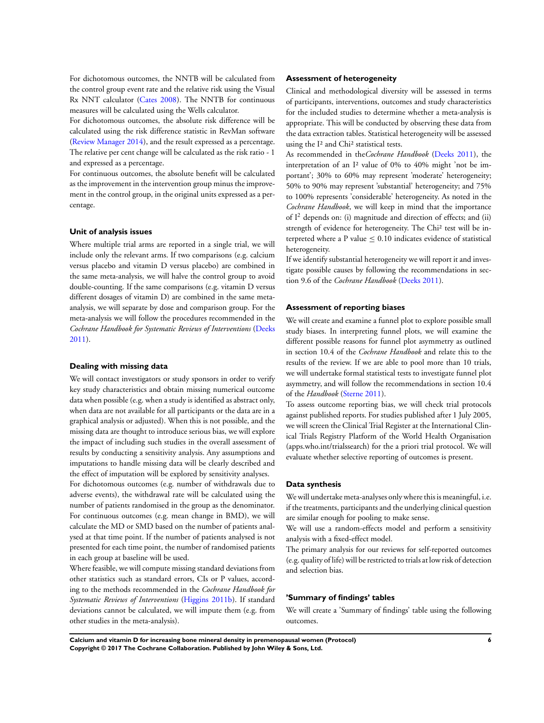For dichotomous outcomes, the NNTB will be calculated from the control group event rate and the relative risk using the Visual Rx NNT calculator ([Cates 2008\)](#page-9-0). The NNTB for continuous measures will be calculated using the Wells calculator.

For dichotomous outcomes, the absolute risk difference will be calculated using the risk difference statistic in RevMan software [\(Review Manager 2014\)](#page-9-0), and the result expressed as a percentage. The relative per cent change will be calculated as the risk ratio - 1 and expressed as a percentage.

For continuous outcomes, the absolute benefit will be calculated as the improvement in the intervention group minus the improvement in the control group, in the original units expressed as a percentage.

### **Unit of analysis issues**

Where multiple trial arms are reported in a single trial, we will include only the relevant arms. If two comparisons (e.g. calcium versus placebo and vitamin D versus placebo) are combined in the same meta-analysis, we will halve the control group to avoid double-counting. If the same comparisons (e.g. vitamin D versus different dosages of vitamin D) are combined in the same metaanalysis, we will separate by dose and comparison group. For the meta-analysis we will follow the procedures recommended in the *Cochrane Handbook for Systematic Reviews of Interventions* ([Deeks](#page-9-0) [2011](#page-9-0)).

### **Dealing with missing data**

We will contact investigators or study sponsors in order to verify key study characteristics and obtain missing numerical outcome data when possible (e.g. when a study is identified as abstract only, when data are not available for all participants or the data are in a graphical analysis or adjusted). When this is not possible, and the missing data are thought to introduce serious bias, we will explore the impact of including such studies in the overall assessment of results by conducting a sensitivity analysis. Any assumptions and imputations to handle missing data will be clearly described and the effect of imputation will be explored by sensitivity analyses.

For dichotomous outcomes (e.g. number of withdrawals due to adverse events), the withdrawal rate will be calculated using the number of patients randomised in the group as the denominator. For continuous outcomes (e.g. mean change in BMD), we will calculate the MD or SMD based on the number of patients analysed at that time point. If the number of patients analysed is not presented for each time point, the number of randomised patients in each group at baseline will be used.

Where feasible, we will compute missing standard deviations from other statistics such as standard errors, CIs or P values, according to the methods recommended in the *Cochrane Handbook for Systematic Reviews of Interventions* [\(Higgins 2011b](#page-9-0)). If standard deviations cannot be calculated, we will impute them (e.g. from other studies in the meta-analysis).

### **Assessment of heterogeneity**

Clinical and methodological diversity will be assessed in terms of participants, interventions, outcomes and study characteristics for the included studies to determine whether a meta-analysis is appropriate. This will be conducted by observing these data from the data extraction tables. Statistical heterogeneity will be assessed using the I² and Chi² statistical tests.

As recommended in the*Cochrane Handbook* ([Deeks 2011\)](#page-9-0), the interpretation of an I² value of 0% to 40% might 'not be important'; 30% to 60% may represent 'moderate' heterogeneity; 50% to 90% may represent 'substantial' heterogeneity; and 75% to 100% represents 'considerable' heterogeneity. As noted in the *Cochrane Handbook*, we will keep in mind that the importance of  $I<sup>2</sup>$  depends on: (i) magnitude and direction of effects; and (ii) strength of evidence for heterogeneity. The Chi<sup>2</sup> test will be interpreted where a P value  $\leq 0.10$  indicates evidence of statistical heterogeneity.

If we identify substantial heterogeneity we will report it and investigate possible causes by following the recommendations in section 9.6 of the *Cochrane Handbook* [\(Deeks 2011\)](#page-9-0).

# **Assessment of reporting biases**

We will create and examine a funnel plot to explore possible small study biases. In interpreting funnel plots, we will examine the different possible reasons for funnel plot asymmetry as outlined in section 10.4 of the *Cochrane Handbook* and relate this to the results of the review. If we are able to pool more than 10 trials, we will undertake formal statistical tests to investigate funnel plot asymmetry, and will follow the recommendations in section 10.4 of the *Handbook* ([Sterne 2011\)](#page-9-0).

To assess outcome reporting bias, we will check trial protocols against published reports. For studies published after 1 July 2005, we will screen the Clinical Trial Register at the International Clinical Trials Registry Platform of the World Health Organisation (apps.who.int/trialssearch) for the a priori trial protocol. We will evaluate whether selective reporting of outcomes is present.

# **Data synthesis**

We will undertake meta-analyses only where this is meaningful, i.e. if the treatments, participants and the underlying clinical question are similar enough for pooling to make sense.

We will use a random-effects model and perform a sensitivity analysis with a fixed-effect model.

The primary analysis for our reviews for self-reported outcomes (e.g. quality of life) will be restricted to trials at low risk of detection and selection bias.

# **'Summary of findings' tables**

We will create a 'Summary of findings' table using the following outcomes.

**Calcium and vitamin D for increasing bone mineral density in premenopausal women (Protocol) 6 Copyright © 2017 The Cochrane Collaboration. Published by John Wiley & Sons, Ltd.**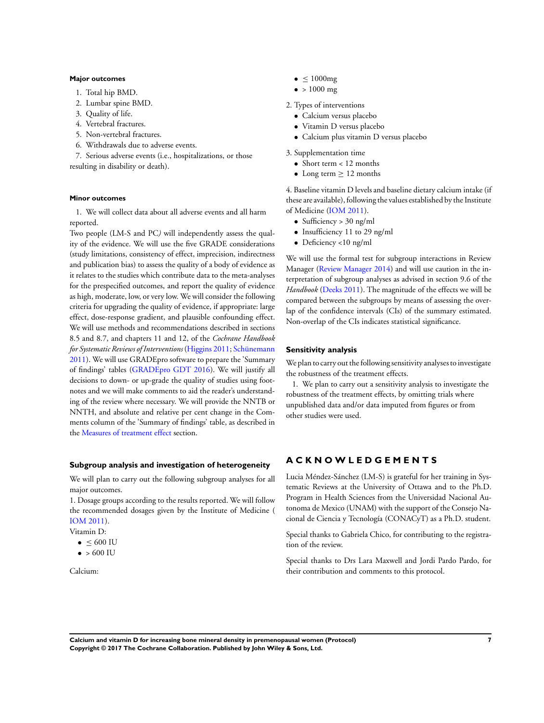### **Major outcomes**

- 1. Total hip BMD.
- 2. Lumbar spine BMD.
- 3. Quality of life.
- 4. Vertebral fractures.
- 5. Non-vertebral fractures.
- 6. Withdrawals due to adverse events.

7. Serious adverse events (i.e., hospitalizations, or those resulting in disability or death).

# **Minor outcomes**

1. We will collect data about all adverse events and all harm reported.

Two people (LM-S and PC) will independently assess the quality of the evidence. We will use the five GRADE considerations (study limitations, consistency of effect, imprecision, indirectness and publication bias) to assess the quality of a body of evidence as it relates to the studies which contribute data to the meta-analyses for the prespecified outcomes, and report the quality of evidence as high, moderate, low, or very low. We will consider the following criteria for upgrading the quality of evidence, if appropriate: large effect, dose-response gradient, and plausible confounding effect. We will use methods and recommendations described in sections 8.5 and 8.7, and chapters 11 and 12, of the *Cochrane Handbook for Systematic Reviews of Interventions* ([Higgins 2011;](#page-9-0) [Schünemann](#page-9-0) [2011](#page-9-0)). We will use GRADEpro software to prepare the 'Summary of findings' tables [\(GRADEpro GDT 2016](#page-9-0)). We will justify all decisions to down- or up-grade the quality of studies using footnotes and we will make comments to aid the reader's understanding of the review where necessary. We will provide the NNTB or NNTH, and absolute and relative per cent change in the Comments column of the 'Summary of findings' table, as described in the [Measures of treatment effect](#page-2-0) section.

### **Subgroup analysis and investigation of heterogeneity**

We will plan to carry out the following subgroup analyses for all major outcomes.

1. Dosage groups according to the results reported. We will follow the recommended dosages given by the Institute of Medicine ( [IOM 2011\)](#page-9-0).

Vitamin D:

- $\bullet$  < 600 IU
- $\bullet$  > 600 IU

Calcium:

- $\bullet \leq 1000$ mg
- $\bullet$  > 1000 mg

2. Types of interventions

- Calcium versus placebo
- Vitamin D versus placebo
- Calcium plus vitamin D versus placebo
- 3. Supplementation time
	- Short term < 12 months
	- Long term  $\geq 12$  months

4. Baseline vitamin D levels and baseline dietary calcium intake (if these are available), following the values established by the Institute of Medicine [\(IOM 2011\)](#page-9-0).

- Sufficiency  $> 30$  ng/ml
- Insufficiency 11 to 29 ng/ml
- Deficiency <10 ng/ml

We will use the formal test for subgroup interactions in Review Manager [\(Review Manager 2014\)](#page-9-0) and will use caution in the interpretation of subgroup analyses as advised in section 9.6 of the *Handbook* [\(Deeks 2011\)](#page-9-0). The magnitude of the effects we will be compared between the subgroups by means of assessing the overlap of the confidence intervals (CIs) of the summary estimated. Non-overlap of the CIs indicates statistical significance.

### **Sensitivity analysis**

We plan to carry out the following sensitivity analyses to investigate the robustness of the treatment effects.

1. We plan to carry out a sensitivity analysis to investigate the robustness of the treatment effects, by omitting trials where unpublished data and/or data imputed from figures or from other studies were used.

# **A C K N O W L E D G E M E N T S**

Lucia Méndez-Sánchez (LM-S) is grateful for her training in Systematic Reviews at the University of Ottawa and to the Ph.D. Program in Health Sciences from the Universidad Nacional Autonoma de Mexico (UNAM) with the support of the Consejo Nacional de Ciencia y Tecnología (CONACyT) as a Ph.D. student.

Special thanks to Gabriela Chico, for contributing to the registration of the review.

Special thanks to Drs Lara Maxwell and Jordi Pardo Pardo, for their contribution and comments to this protocol.

**Calcium and vitamin D for increasing bone mineral density in premenopausal women (Protocol) 7 Copyright © 2017 The Cochrane Collaboration. Published by John Wiley & Sons, Ltd.**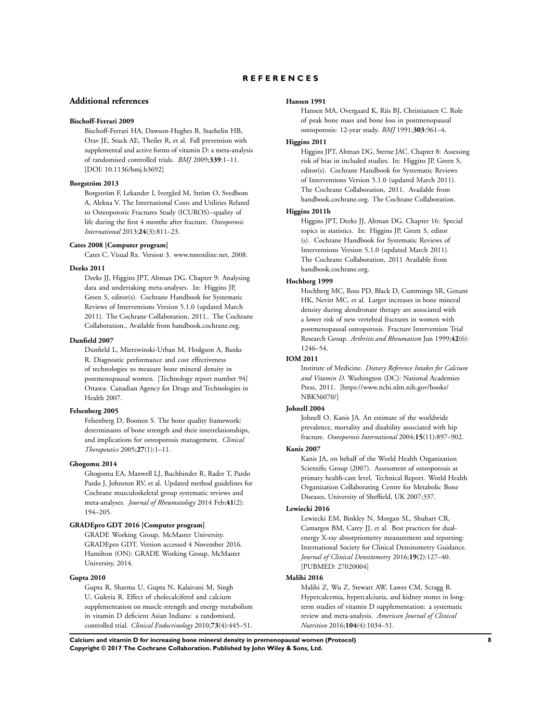# <span id="page-9-0"></span>**Additional references**

### **Bischoff-Ferrari 2009**

Bischoff-Ferrari HA, Dawson-Hughes B, Staehelin HB, Orav JE, Stuck AE, Theiler R, et al. Fall prevention with supplemental and active forms of vitamin D: a meta-analysis of randomised controlled trials. *BMJ* 2009;**339**:1–11. [DOI: 10.1136/bmj.b3692]

# **Borgström 2013**

Borgström F, Lekander I, Ivergård M, Ström O, Svedbom A, Alekna V. The International Costs and Utilities Related to Osteoporotic Fractures Study (ICUROS)--quality of life during the first 4 months after fracture. *Osteoporosis International* 2013;**24**(3):811–23.

### **Cates 2008 [Computer program]**

Cates C. Visual Rx. Version 3. www.nntonline.net, 2008.

#### **Deeks 2011**

Deeks JJ, Higgins JPT, Altman DG. Chapter 9: Analysing data and undertaking meta-analyses. In: Higgins JP, Green S, editor(s). Cochrane Handbook for Systematic Reviews of Interventions Version 5.1.0 (updated March 2011). The Cochrane Collaboration, 2011.. The Cochrane Collaboration., Available from handbook.cochrane.org.

#### **Dunfield 2007**

Dunfield L, Mierzwinski-Urban M, Hodgson A, Banks R. Diagnostic performance and cost effectiveness of technologies to measure bone mineral density in postmenopausal women. [Technology report number 94] Ottawa: Canadian Agency for Drugs and Technologies in Health 2007.

### **Felsenberg 2005**

Felsenberg D, Boonen S. The bone quality framework: determinants of bone strength and their interrelationships, and implications for osteoporosis management. *Clinical Therapeutics* 2005;**27**(1):1–11.

# **Ghogomu 2014**

Ghogomu EA, Maxwell LJ, Buchbinder R, Rader T, Pardo Pardo J, Johnston RV, et al. Updated method guidelines for Cochrane musculoskeletal group systematic reviews and meta-analyses. *Journal of Rheumatology* 2014 Feb;**41**(2): 194–205.

### **GRADEpro GDT 2016 [Computer program]**

GRADE Working Group, McMaster University. GRADEpro GDT. Version accessed 4 November 2016. Hamilton (ON): GRADE Working Group, McMaster University, 2014.

### **Gupta 2010**

Gupta R, Sharma U, Gupta N, Kalaivani M, Singh U, Guleria R. Effect of cholecalciferol and calcium supplementation on muscle strength and energy metabolism in vitamin D deficient Asian Indians: a randomised, controlled trial. *Clinical Endocrinology* 2010;**73**(4):445–51.

#### **Hansen 1991**

Hansen MA, Overgaard K, Riis BJ, Christiansen C. Role of peak bone mass and bone loss in postmenopausal osteoporosis: 12-year study. *BMJ* 1991;**303**:961–4.

# **Higgins 2011**

Higgins JPT, Altman DG, Sterne JAC. Chapter 8: Assessing risk of bias in included studies. In: Higgins JP, Green S, editor(s). Cochrane Handbook for Systematic Reviews of Interventions Version 5.1.0 (updated March 2011). The Cochrane Collaboration, 2011. Available from handbook.cochrane.org. The Cochrane Collaboration.

# **Higgins 2011b**

Higgins JPT, Deeks JJ, Altman DG. Chapter 16: Special topics in statistics. In: Higgins JP, Green S, editor (s). Cochrane Handbook for Systematic Reviews of Interventions Version 5.1.0 (updated March 2011). The Cochrane Collaboration, 2011 Available from handbook.cochrane.org.

#### **Hochberg 1999**

Hochberg MC, Ross PD, Black D, Cummings SR, Genant HK, Nevitt MC, et al. Larger increases in bone mineral density during alendronate therapy are associated with a lower risk of new vertebral fractures in women with postmenopausal osteoporosis. Fracture Intervention Trial Research Group. *Arthritis and Rheumatism* Jun 1999;**42**(6): 1246–54.

#### **IOM 2011**

Institute of Medicine. *Dietary Reference Intakes for Calcium and Vitamin D*. Washington (DC): National Academies Press, 2011. [https://www.ncbi.nlm.nih.gov/books/ NBK56070/]

# **Johnell 2004**

Johnell O, Kanis JA. An estimate of the worldwide prevalence, mortality and disability associated with hip fracture. *Osteoporosis International* 2004;**15**(11):897–902.

#### **Kanis 2007**

Kanis JA, on behalf of the World Health Organization Scientific Group (2007). Assessment of osteoporosis at primary health-care level. Technical Report. World Health Organization Collaborating Centre for Metabolic Bone Diseases, University of Sheffield, UK 2007:337.

#### **Lewiecki 2016**

Lewiecki EM, Binkley N, Morgan SL, Shuhart CR, Camargos BM, Carey JJ, et al. Best practices for dualenergy X-ray absorptiometry measurement and reporting: International Society for Clinical Densitometry Guidance. *Journal of Clinical Densitometry* 2016;**19**(2):127–40. [PUBMED: 27020004]

### **Malihi 2016**

Malihi Z, Wu Z, Stewart AW, Lawes CM, Scragg R. Hypercalcemia, hypercalciuria, and kidney stones in longterm studies of vitamin D supplementation: a systematic review and meta-analysis. *American Journal of Clinical Nutrition* 2016;**104**(4):1034–51.

**Calcium and vitamin D for increasing bone mineral density in premenopausal women (Protocol) 8 Copyright © 2017 The Cochrane Collaboration. Published by John Wiley & Sons, Ltd.**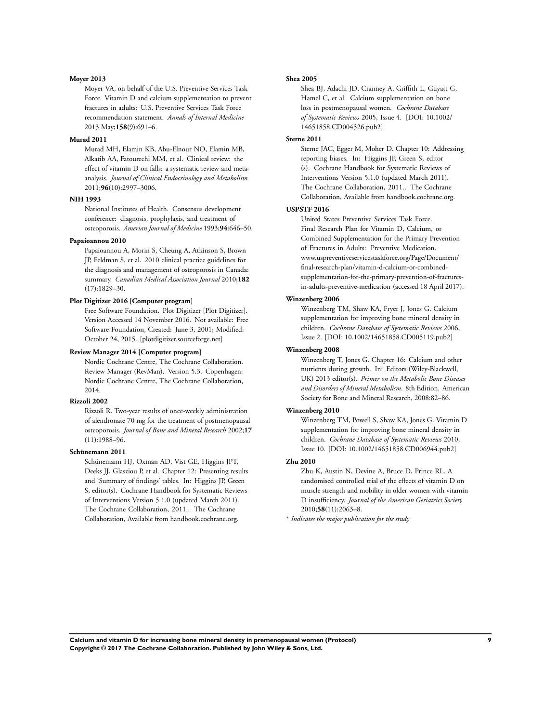### **Moyer 2013**

Moyer VA, on behalf of the U.S. Preventive Services Task Force. Vitamin D and calcium supplementation to prevent fractures in adults: U.S. Preventive Services Task Force recommendation statement. *Annals of Internal Medicine* 2013 May;**158**(9):691–6.

### **Murad 2011**

Murad MH, Elamin KB, Abu-Elnour NO, Elamin MB, Alkatib AA, Fatourechi MM, et al. Clinical review: the effect of vitamin D on falls: a systematic review and metaanalysis. *Journal of Clinical Endocrinology and Metabolism* 2011;**96**(10):2997–3006.

### **NIH 1993**

National Institutes of Health. Consensus development conference: diagnosis, prophylaxis, and treatment of osteoporosis. *Amerian Journal of Medicine* 1993;**94**:646–50.

# **Papaioannou 2010**

Papaioannou A, Morin S, Cheung A, Atkinson S, Brown JP, Feldman S, et al. 2010 clinical practice guidelines for the diagnosis and management of osteoporosis in Canada: summary. *Canadian Medical Association Journal* 2010;**182** (17):1829–30.

### **Plot Digitizer 2016 [Computer program]**

Free Software Foundation. Plot Digitizer [Plot Digitizer]. Version Accessed 14 November 2016. Not available: Free Software Foundation, Created: June 3, 2001; Modified: October 24, 2015. [plotdigitizer.sourceforge.net]

# **Review Manager 2014 [Computer program]**

Nordic Cochrane Centre, The Cochrane Collaboration. Review Manager (RevMan). Version 5.3. Copenhagen: Nordic Cochrane Centre, The Cochrane Collaboration, 2014.

### **Rizzoli 2002**

Rizzoli R. Two-year results of once-weekly administration of alendronate 70 mg for the treatment of postmenopausal osteoporosis. *Journal of Bone and Mineral Research* 2002;**17**  $(11):1988-96.$ 

# **Schünemann 2011**

Schünemann HJ, Oxman AD, Vist GE, Higgins JPT, Deeks JJ, Glasziou P, et al. Chapter 12: Presenting results and 'Summary of findings' tables. In: Higgins JP, Green S, editor(s). Cochrane Handbook for Systematic Reviews of Interventions Version 5.1.0 (updated March 2011). The Cochrane Collaboration, 2011.. The Cochrane Collaboration, Available from handbook.cochrane.org.

#### **Shea 2005**

Shea BJ, Adachi JD, Cranney A, Griffith L, Guyatt G, Hamel C, et al. Calcium supplementation on bone loss in postmenopausal women. *Cochrane Database of Systematic Reviews* 2005, Issue 4. [DOI: 10.1002/ 14651858.CD004526.pub2]

### **Sterne 2011**

Sterne JAC, Egger M, Moher D. Chapter 10: Addressing reporting biases. In: Higgins JP, Green S, editor (s). Cochrane Handbook for Systematic Reviews of Interventions Version 5.1.0 (updated March 2011). The Cochrane Collaboration, 2011.. The Cochrane Collaboration, Available from handbook.cochrane.org.

# **USPSTF 2016**

United States Preventive Services Task Force. Final Research Plan for Vitamin D, Calcium, or Combined Supplementation for the Primary Prevention of Fractures in Adults: Preventive Medication. www.uspreventiveservicestaskforce.org/Page/Document/ final-research-plan/vitamin-d-calcium-or-combinedsupplementation-for-the-primary-prevention-of-fracturesin-adults-preventive-medication (accessed 18 April 2017).

### **Winzenberg 2006**

Winzenberg TM, Shaw KA, Fryer J, Jones G. Calcium supplementation for improving bone mineral density in children. *Cochrane Database of Systematic Reviews* 2006, Issue 2. [DOI: 10.1002/14651858.CD005119.pub2]

### **Winzenberg 2008**

Winzenberg T, Jones G. Chapter 16: Calcium and other nutrients during growth. In: Editors (Wiley-Blackwell, UK) 2013 editor(s). *Primer on the Metabolic Bone Diseases and Disorders of Mineral Metabolism*. 8th Edition. American Society for Bone and Mineral Research, 2008:82–86.

### **Winzenberg 2010**

Winzenberg TM, Powell S, Shaw KA, Jones G. Vitamin D supplementation for improving bone mineral density in children. *Cochrane Database of Systematic Reviews* 2010, Issue 10. [DOI: 10.1002/14651858.CD006944.pub2]

# **Zhu 2010**

Zhu K, Austin N, Devine A, Bruce D, Prince RL. A randomised controlled trial of the effects of vitamin D on muscle strength and mobility in older women with vitamin D insufficiency. *Journal of the American Geriatrics Society* 2010;**58**(11):2063–8.

∗ *Indicates the major publication for the study*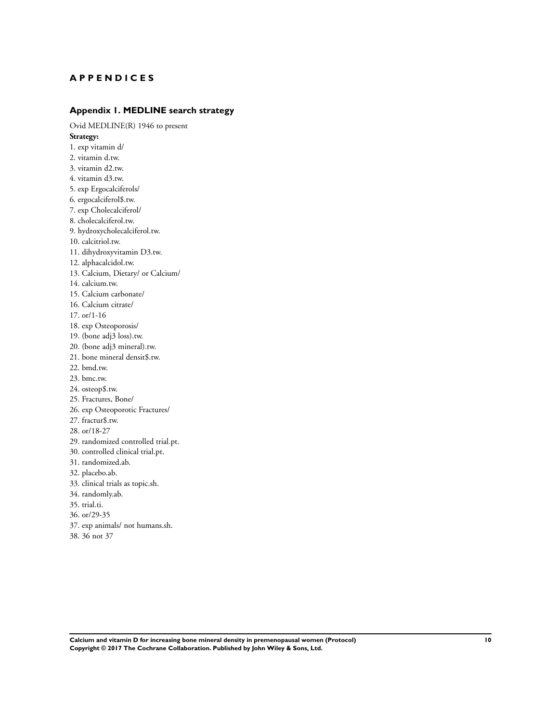# <span id="page-11-0"></span>**A P P E N D I C E S**

# **Appendix 1. MEDLINE search strategy**

Ovid MEDLINE(R) 1946 to present **Strategy:** 1. exp vitamin d/ 2. vitamin d.tw. 3. vitamin d2.tw. 4. vitamin d3.tw. 5. exp Ergocalciferols/ 6. ergocalciferol\$.tw. 7. exp Cholecalciferol/ 8. cholecalciferol.tw. 9. hydroxycholecalciferol.tw. 10. calcitriol.tw. 11. dihydroxyvitamin D3.tw. 12. alphacalcidol.tw. 13. Calcium, Dietary/ or Calcium/ 14. calcium.tw. 15. Calcium carbonate/ 16. Calcium citrate/ 17. or/1-16 18. exp Osteoporosis/ 19. (bone adj3 loss).tw. 20. (bone adj3 mineral).tw. 21. bone mineral densit\$.tw. 22. bmd.tw. 23. bmc.tw. 24. osteop\$.tw. 25. Fractures, Bone/ 26. exp Osteoporotic Fractures/ 27. fractur\$.tw. 28. or/18-27 29. randomized controlled trial.pt. 30. controlled clinical trial.pt. 31. randomized.ab. 32. placebo.ab. 33. clinical trials as topic.sh. 34. randomly.ab. 35. trial.ti. 36. or/29-35 37. exp animals/ not humans.sh. 38. 36 not 37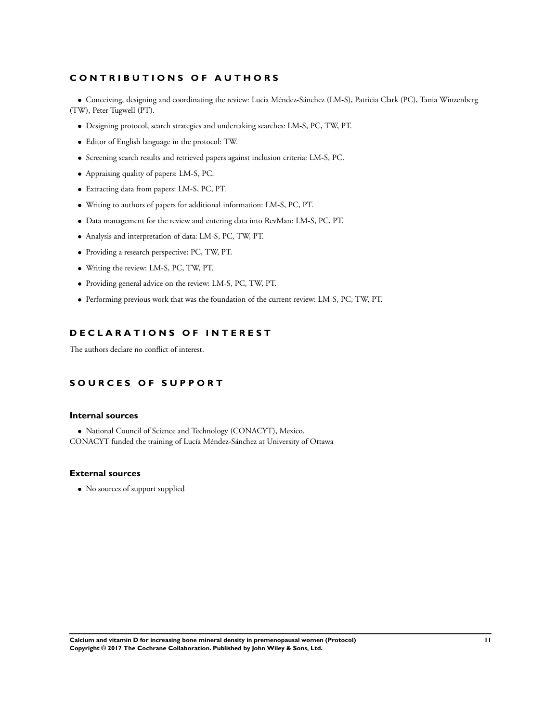# **C O N T R I B U T I O N S O F A U T H O R S**

• Conceiving, designing and coordinating the review: Lucia Méndez-Sánchez (LM-S), Patricia Clark (PC), Tania Winzenberg (TW), Peter Tugwell (PT).

- Designing protocol, search strategies and undertaking searches: LM-S, PC, TW, PT.
- Editor of English language in the protocol: TW.
- Screening search results and retrieved papers against inclusion criteria: LM-S, PC.
- Appraising quality of papers: LM-S, PC.
- Extracting data from papers: LM-S, PC, PT.
- Writing to authors of papers for additional information: LM-S, PC, PT.
- Data management for the review and entering data into RevMan: LM-S, PC, PT.
- Analysis and interpretation of data: LM-S, PC, TW, PT.
- Providing a research perspective: PC, TW, PT.
- Writing the review: LM-S, PC, TW, PT.
- Providing general advice on the review: LM-S, PC, TW, PT.
- Performing previous work that was the foundation of the current review: LM-S, PC, TW, PT.

# **D E C L A R A T I O N S O F I N T E R E S T**

The authors declare no conflict of interest.

# **S O U R C E S O F S U P P O R T**

# **Internal sources**

• National Council of Science and Technology (CONACYT), Mexico. CONACYT funded the training of Lucía Méndez-Sánchez at University of Ottawa

# **External sources**

• No sources of support supplied